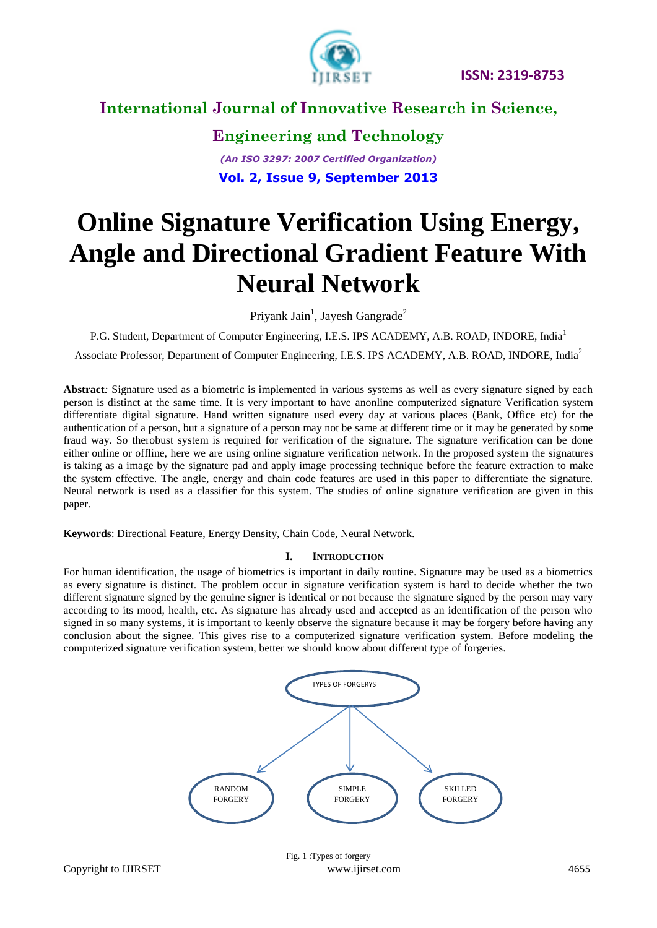

### **Engineering and Technology** *(An ISO 3297: 2007 Certified Organization)*

**Vol. 2, Issue 9, September 2013**

# **Online Signature Verification Using Energy, Angle and Directional Gradient Feature With Neural Network**

Priyank Jain<sup>1</sup>, Jayesh Gangrade<sup>2</sup>

P.G. Student, Department of Computer Engineering, I.E.S. IPS ACADEMY, A.B. ROAD, INDORE, India<sup>1</sup>

Associate Professor, Department of Computer Engineering, I.E.S. IPS ACADEMY, A.B. ROAD, INDORE, India<sup>2</sup>

**Abstract***:* Signature used as a biometric is implemented in various systems as well as every signature signed by each person is distinct at the same time. It is very important to have anonline computerized signature Verification system differentiate digital signature. Hand written signature used every day at various places (Bank, Office etc) for the authentication of a person, but a signature of a person may not be same at different time or it may be generated by some fraud way. So therobust system is required for verification of the signature. The signature verification can be done either online or offline, here we are using online signature verification network. In the proposed system the signatures is taking as a image by the signature pad and apply image processing technique before the feature extraction to make the system effective. The angle, energy and chain code features are used in this paper to differentiate the signature. Neural network is used as a classifier for this system. The studies of online signature verification are given in this paper.

**Keywords**: Directional Feature, Energy Density, Chain Code, Neural Network.

### **I. INTRODUCTION**

For human identification, the usage of biometrics is important in daily routine. Signature may be used as a biometrics as every signature is distinct. The problem occur in signature verification system is hard to decide whether the two different signature signed by the genuine signer is identical or not because the signature signed by the person may vary according to its mood, health, etc. As signature has already used and accepted as an identification of the person who signed in so many systems, it is important to keenly observe the signature because it may be forgery before having any conclusion about the signee. This gives rise to a computerized signature verification system. Before modeling the computerized signature verification system, better we should know about different type of forgeries.

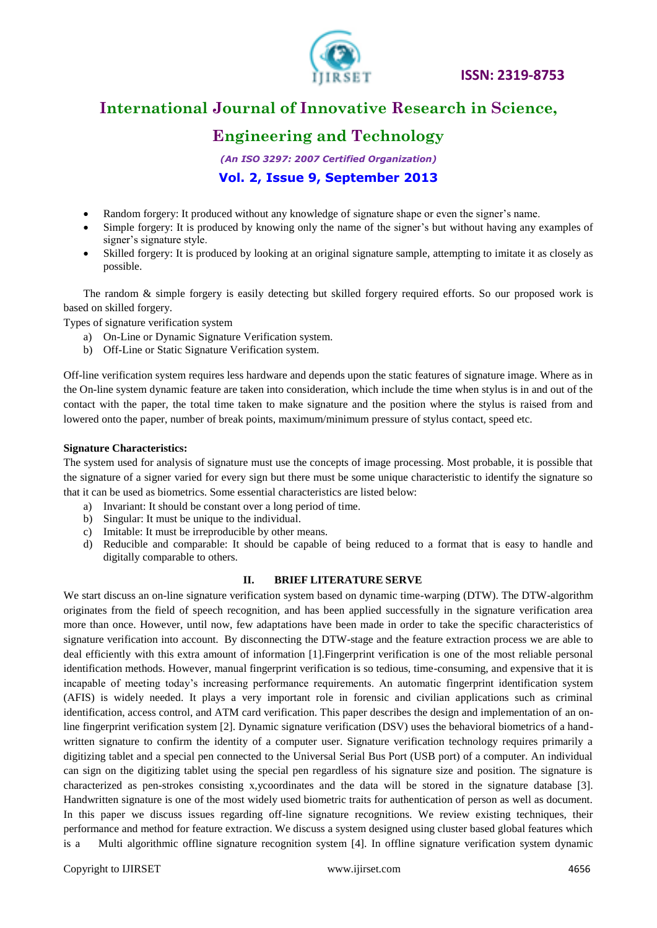

### **Engineering and Technology**

*(An ISO 3297: 2007 Certified Organization)* **Vol. 2, Issue 9, September 2013**

- Random forgery: It produced without any knowledge of signature shape or even the signer's name.
- Simple forgery: It is produced by knowing only the name of the signer's but without having any examples of signer's signature style.
- Skilled forgery: It is produced by looking at an original signature sample, attempting to imitate it as closely as possible.

The random & simple forgery is easily detecting but skilled forgery required efforts. So our proposed work is based on skilled forgery.

Types of signature verification system

- a) On-Line or Dynamic Signature Verification system.
- b) Off-Line or Static Signature Verification system.

Off-line verification system requires less hardware and depends upon the static features of signature image. Where as in the On-line system dynamic feature are taken into consideration, which include the time when stylus is in and out of the contact with the paper, the total time taken to make signature and the position where the stylus is raised from and lowered onto the paper, number of break points, maximum/minimum pressure of stylus contact, speed etc.

#### **Signature Characteristics:**

The system used for analysis of signature must use the concepts of image processing. Most probable, it is possible that the signature of a signer varied for every sign but there must be some unique characteristic to identify the signature so that it can be used as biometrics. Some essential characteristics are listed below:

- a) Invariant: It should be constant over a long period of time.
- b) Singular: It must be unique to the individual.
- c) Imitable: It must be irreproducible by other means.
- d) Reducible and comparable: It should be capable of being reduced to a format that is easy to handle and digitally comparable to others.

### **II. BRIEF LITERATURE SERVE**

We start discuss an on-line signature verification system based on dynamic time-warping (DTW). The DTW-algorithm originates from the field of speech recognition, and has been applied successfully in the signature verification area more than once. However, until now, few adaptations have been made in order to take the specific characteristics of signature verification into account. By disconnecting the DTW-stage and the feature extraction process we are able to deal efficiently with this extra amount of information [1].Fingerprint verification is one of the most reliable personal identification methods. However, manual fingerprint verification is so tedious, time-consuming, and expensive that it is incapable of meeting today's increasing performance requirements. An automatic fingerprint identification system (AFIS) is widely needed. It plays a very important role in forensic and civilian applications such as criminal identification, access control, and ATM card verification. This paper describes the design and implementation of an online fingerprint verification system [2]. Dynamic signature verification (DSV) uses the behavioral biometrics of a handwritten signature to confirm the identity of a computer user. Signature verification technology requires primarily a digitizing tablet and a special pen connected to the Universal Serial Bus Port (USB port) of a computer. An individual can sign on the digitizing tablet using the special pen regardless of his signature size and position. The signature is characterized as pen-strokes consisting x,ycoordinates and the data will be stored in the signature database [3]. Handwritten signature is one of the most widely used biometric traits for authentication of person as well as document. In this paper we discuss issues regarding off-line signature recognitions. We review existing techniques, their performance and method for feature extraction. We discuss a system designed using cluster based global features which is a Multi algorithmic offline signature recognition system [4]. In offline signature verification system dynamic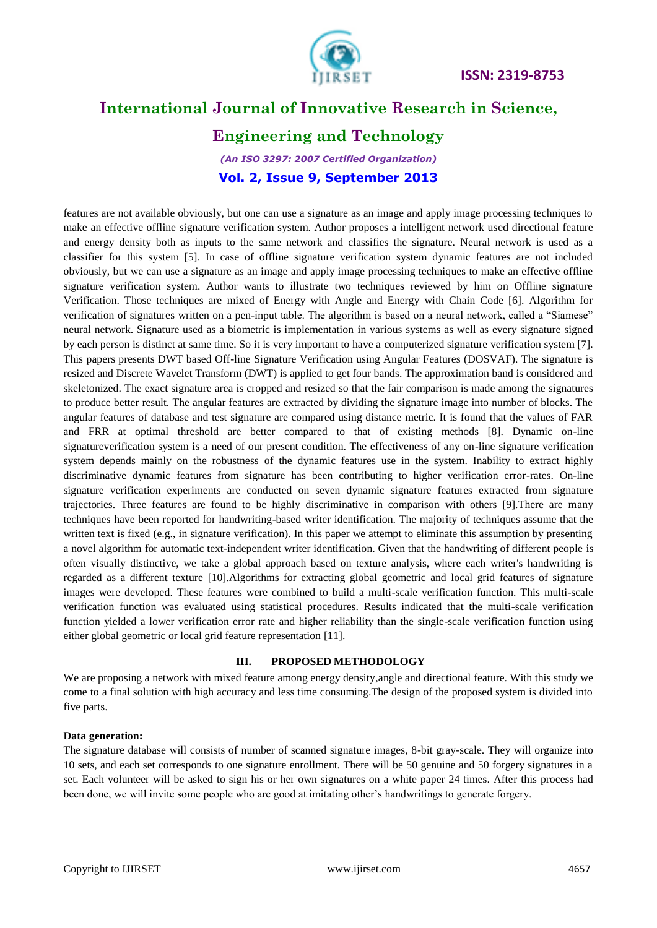

**ISSN: 2319-8753** 

### **International Journal of Innovative Research in Science,**

### **Engineering and Technology**

*(An ISO 3297: 2007 Certified Organization)* **Vol. 2, Issue 9, September 2013**

features are not available obviously, but one can use a signature as an image and apply image processing techniques to make an effective offline signature verification system. Author proposes a intelligent network used directional feature and energy density both as inputs to the same network and classifies the signature. Neural network is used as a classifier for this system [5]. In case of offline signature verification system dynamic features are not included obviously, but we can use a signature as an image and apply image processing techniques to make an effective offline signature verification system. Author wants to illustrate two techniques reviewed by him on Offline signature Verification. Those techniques are mixed of Energy with Angle and Energy with Chain Code [6]. Algorithm for verification of signatures written on a pen-input table. The algorithm is based on a neural network, called a "Siamese" neural network. Signature used as a biometric is implementation in various systems as well as every signature signed by each person is distinct at same time. So it is very important to have a computerized signature verification system [7]. This papers presents DWT based Off-line Signature Verification using Angular Features (DOSVAF). The signature is resized and Discrete Wavelet Transform (DWT) is applied to get four bands. The approximation band is considered and skeletonized. The exact signature area is cropped and resized so that the fair comparison is made among the signatures to produce better result. The angular features are extracted by dividing the signature image into number of blocks. The angular features of database and test signature are compared using distance metric. It is found that the values of FAR and FRR at optimal threshold are better compared to that of existing methods [8]. Dynamic on-line signatureverification system is a need of our present condition. The effectiveness of any on-line signature verification system depends mainly on the robustness of the dynamic features use in the system. Inability to extract highly discriminative dynamic features from signature has been contributing to higher verification error-rates. On-line signature verification experiments are conducted on seven dynamic signature features extracted from signature trajectories. Three features are found to be highly discriminative in comparison with others [9].There are many techniques have been reported for handwriting-based writer identification. The majority of techniques assume that the written text is fixed (e.g., in signature verification). In this paper we attempt to eliminate this assumption by presenting a novel algorithm for automatic text-independent writer identification. Given that the handwriting of different people is often visually distinctive, we take a global approach based on texture analysis, where each writer's handwriting is regarded as a different texture [10].Algorithms for extracting global geometric and local grid features of signature images were developed. These features were combined to build a multi-scale verification function. This multi-scale verification function was evaluated using statistical procedures. Results indicated that the multi-scale verification function yielded a lower verification error rate and higher reliability than the single-scale verification function using either global geometric or local grid feature representation [11].

### **III. PROPOSED METHODOLOGY**

We are proposing a network with mixed feature among energy density,angle and directional feature. With this study we come to a final solution with high accuracy and less time consuming.The design of the proposed system is divided into five parts.

### **Data generation:**

The signature database will consists of number of scanned signature images, 8-bit gray-scale. They will organize into 10 sets, and each set corresponds to one signature enrollment. There will be 50 genuine and 50 forgery signatures in a set. Each volunteer will be asked to sign his or her own signatures on a white paper 24 times. After this process had been done, we will invite some people who are good at imitating other's handwritings to generate forgery.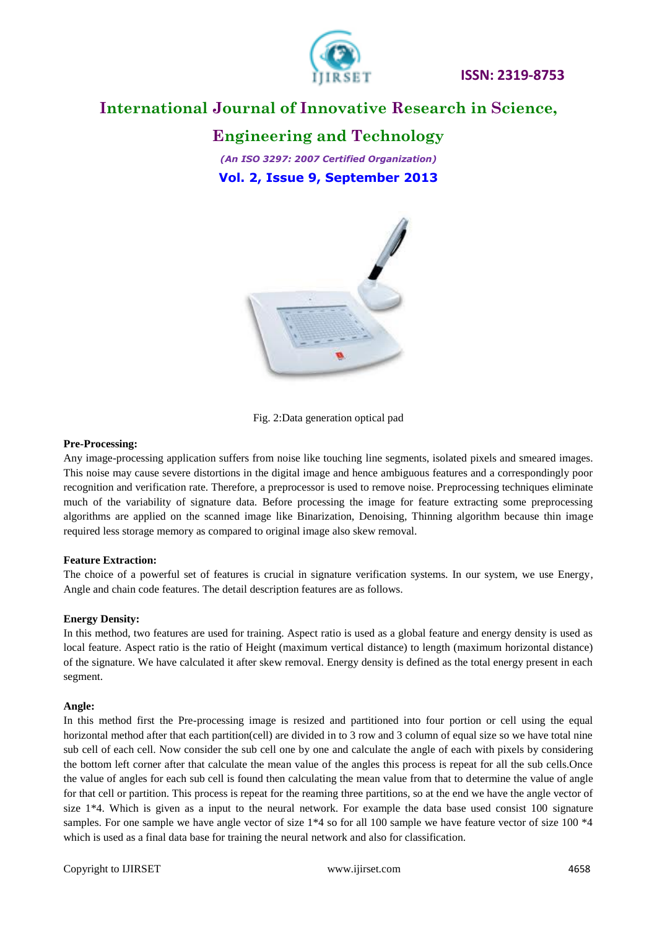

### **Engineering and Technology**

*(An ISO 3297: 2007 Certified Organization)* **Vol. 2, Issue 9, September 2013**



Fig. 2:Data generation optical pad

### **Pre-Processing:**

Any image-processing application suffers from noise like touching line segments, isolated pixels and smeared images. This noise may cause severe distortions in the digital image and hence ambiguous features and a correspondingly poor recognition and verification rate. Therefore, a preprocessor is used to remove noise. Preprocessing techniques eliminate much of the variability of signature data. Before processing the image for feature extracting some preprocessing algorithms are applied on the scanned image like Binarization, Denoising, Thinning algorithm because thin image required less storage memory as compared to original image also skew removal.

### **Feature Extraction:**

The choice of a powerful set of features is crucial in signature verification systems. In our system, we use Energy, Angle and chain code features. The detail description features are as follows.

### **Energy Density:**

In this method, two features are used for training. Aspect ratio is used as a global feature and energy density is used as local feature. Aspect ratio is the ratio of Height (maximum vertical distance) to length (maximum horizontal distance) of the signature. We have calculated it after skew removal. Energy density is defined as the total energy present in each segment.

### **Angle:**

In this method first the Pre-processing image is resized and partitioned into four portion or cell using the equal horizontal method after that each partition(cell) are divided in to 3 row and 3 column of equal size so we have total nine sub cell of each cell. Now consider the sub cell one by one and calculate the angle of each with pixels by considering the bottom left corner after that calculate the mean value of the angles this process is repeat for all the sub cells.Once the value of angles for each sub cell is found then calculating the mean value from that to determine the value of angle for that cell or partition. This process is repeat for the reaming three partitions, so at the end we have the angle vector of size  $1*4$ . Which is given as a input to the neural network. For example the data base used consist 100 signature samples. For one sample we have angle vector of size  $1*4$  so for all 100 sample we have feature vector of size 100  $*4$ which is used as a final data base for training the neural network and also for classification.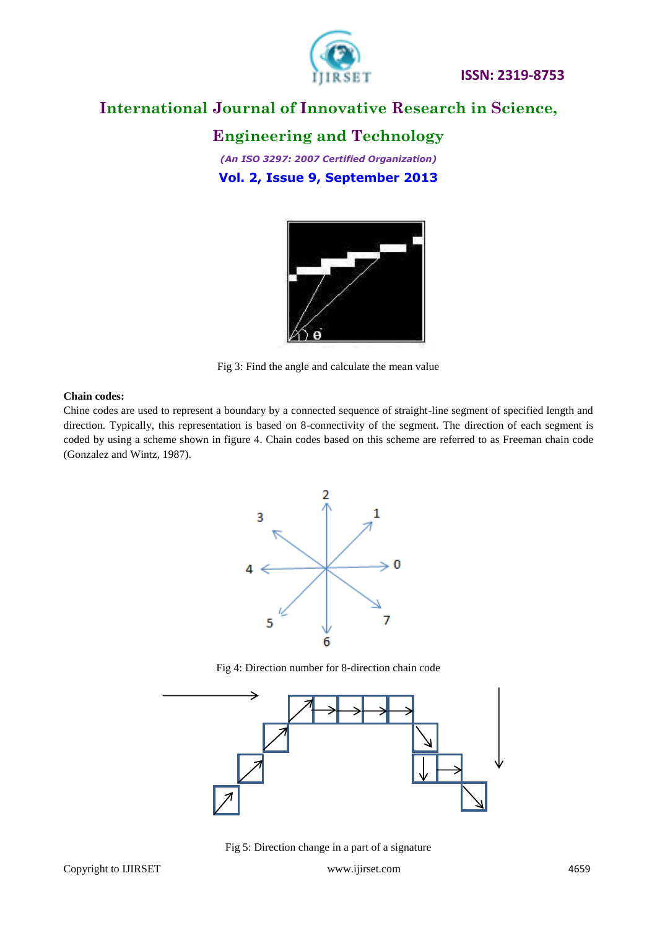

### **Engineering and Technology**

*(An ISO 3297: 2007 Certified Organization)* **Vol. 2, Issue 9, September 2013**



Fig 3: Find the angle and calculate the mean value

#### **Chain codes:**

Chine codes are used to represent a boundary by a connected sequence of straight-line segment of specified length and direction. Typically, this representation is based on 8-connectivity of the segment. The direction of each segment is coded by using a scheme shown in figure 4. Chain codes based on this scheme are referred to as Freeman chain code (Gonzalez and Wintz, 1987).



Fig 4: Direction number for 8-direction chain code



Fig 5: Direction change in a part of a signature